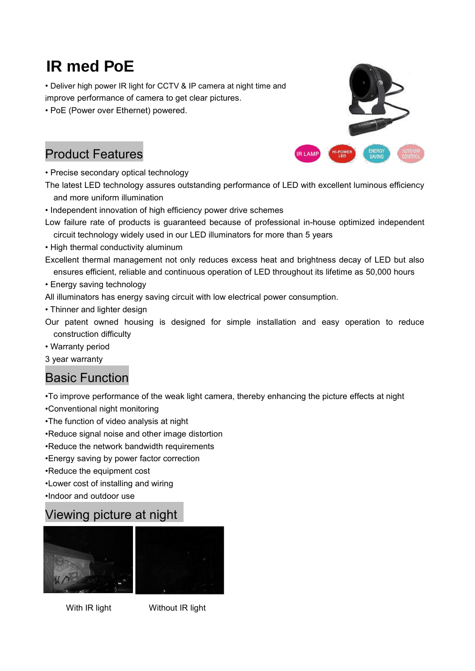# IR med PoE

• Deliver high power IR light for CCTV & IP camera at night time and improve performance of camera to get clear pictures.

• PoE (Power over Ethernet) powered.

### Product Features

• Precise secondary optical technology

The latest LED technology assures outstanding performance of LED with excellent luminous efficiency and more uniform illumination

- Independent innovation of high efficiency power drive schemes
- Low failure rate of products is guaranteed because of professional in-house optimized independent circuit technology widely used in our LED illuminators for more than 5 years
- High thermal conductivity aluminum
- Excellent thermal management not only reduces excess heat and brightness decay of LED but also ensures efficient, reliable and continuous operation of LED throughout its lifetime as 50,000 hours
- Energy saving technology

All illuminators has energy saving circuit with low electrical power consumption.

- Thinner and lighter design
- Our patent owned housing is designed for simple installation and easy operation to reduce construction difficulty
- Warranty period
- 3 year warranty

#### Basic Function

•To improve performance of the weak light camera, thereby enhancing the picture effects at night •Conventional night monitoring

- •The function of video analysis at night
- •Reduce signal noise and other image distortion
- •Reduce the network bandwidth requirements
- •Energy saving by power factor correction
- •Reduce the equipment cost
- •Lower cost of installing and wiring

•Indoor and outdoor use

#### Viewing picture at night



With IR light Without IR light